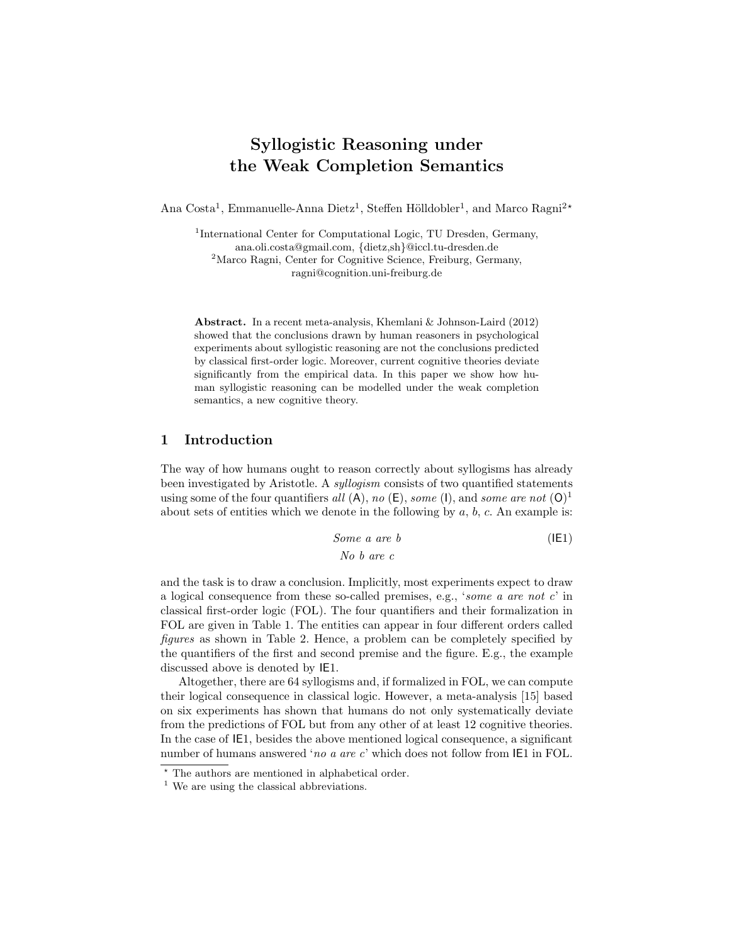# Syllogistic Reasoning under the Weak Completion Semantics

Ana Costa<sup>1</sup>, Emmanuelle-Anna Dietz<sup>1</sup>, Steffen Hölldobler<sup>1</sup>, and Marco Ragni<sup>2\*</sup>

<sup>1</sup>International Center for Computational Logic, TU Dresden, Germany, ana.oli.costa@gmail.com, {dietz,sh}@iccl.tu-dresden.de <sup>2</sup>Marco Ragni, Center for Cognitive Science, Freiburg, Germany, ragni@cognition.uni-freiburg.de

Abstract. In a recent meta-analysis, Khemlani & Johnson-Laird (2012) showed that the conclusions drawn by human reasoners in psychological experiments about syllogistic reasoning are not the conclusions predicted by classical first-order logic. Moreover, current cognitive theories deviate significantly from the empirical data. In this paper we show how human syllogistic reasoning can be modelled under the weak completion semantics, a new cognitive theory.

# 1 Introduction

The way of how humans ought to reason correctly about syllogisms has already been investigated by Aristotle. A syllogism consists of two quantified statements using some of the four quantifiers all  $(A)$ , no  $(E)$ , some  $(I)$ , and some are not  $(O)^1$ about sets of entities which we denote in the following by  $a, b, c$ . An example is:

Some a are b

\n
$$
No \ b \ are \ c
$$
\n(IE1)

and the task is to draw a conclusion. Implicitly, most experiments expect to draw a logical consequence from these so-called premises, e.g., 'some a are not c' in classical first-order logic (FOL). The four quantifiers and their formalization in FOL are given in Table 1. The entities can appear in four different orders called figures as shown in Table 2. Hence, a problem can be completely specified by the quantifiers of the first and second premise and the figure. E.g., the example discussed above is denoted by IE1.

Altogether, there are 64 syllogisms and, if formalized in FOL, we can compute their logical consequence in classical logic. However, a meta-analysis [15] based on six experiments has shown that humans do not only systematically deviate from the predictions of FOL but from any other of at least 12 cognitive theories. In the case of IE1, besides the above mentioned logical consequence, a significant number of humans answered 'no a are c' which does not follow from  $IE1$  in FOL.

<sup>?</sup> The authors are mentioned in alphabetical order.

<sup>&</sup>lt;sup>1</sup> We are using the classical abbreviations.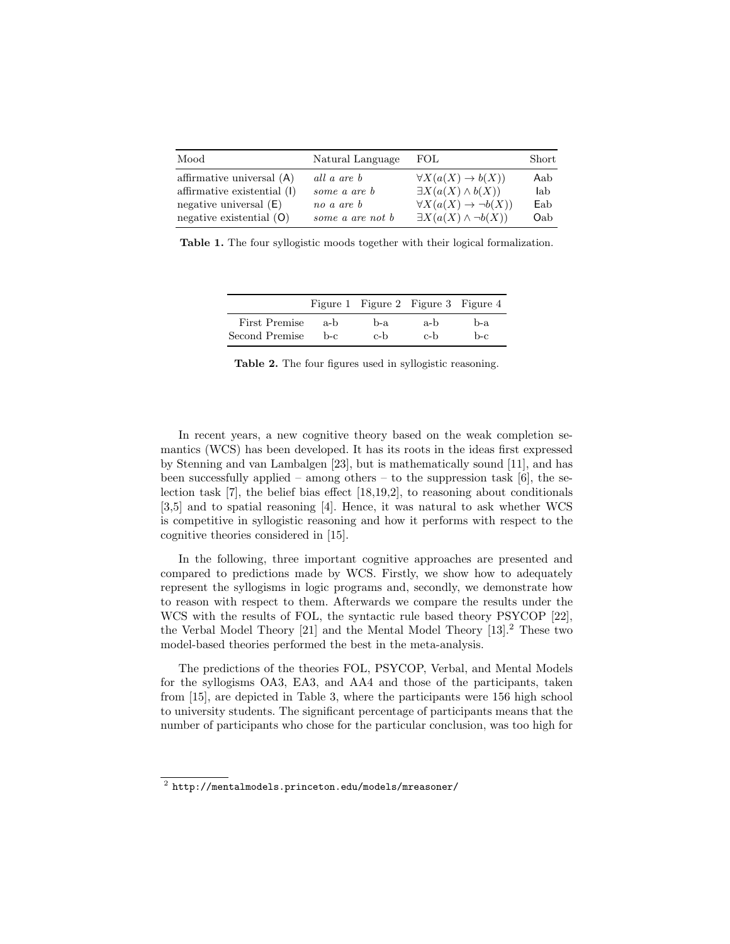| Mood                        | Natural Language | FOL.                                    | Short |
|-----------------------------|------------------|-----------------------------------------|-------|
| affirmative universal $(A)$ | all a are b      | $\forall X(a(X) \rightarrow b(X))$      | Aab   |
| affirmative existential (I) | some a are b     | $\exists X(a(X) \wedge b(X))$           | lab   |
| negative universal $(E)$    | no a are b       | $\forall X(a(X) \rightarrow \neg b(X))$ | Eab   |
| negative existential $(O)$  | some a are not b | $\exists X(a(X) \wedge \neg b(X))$      | Oab   |

Table 1. The four syllogistic moods together with their logical formalization.

|                |     | Figure 1 Figure 2 Figure 3 Figure 4 |     |     |
|----------------|-----|-------------------------------------|-----|-----|
| First Premise  | a-b | b-a                                 | a-b | b-a |
| Second Premise | b-c | c-b                                 | c-h | b-c |

Table 2. The four figures used in syllogistic reasoning.

In recent years, a new cognitive theory based on the weak completion semantics (WCS) has been developed. It has its roots in the ideas first expressed by Stenning and van Lambalgen [23], but is mathematically sound [11], and has been successfully applied – among others – to the suppression task  $[6]$ , the selection task [7], the belief bias effect [18,19,2], to reasoning about conditionals [3,5] and to spatial reasoning [4]. Hence, it was natural to ask whether WCS is competitive in syllogistic reasoning and how it performs with respect to the cognitive theories considered in [15].

In the following, three important cognitive approaches are presented and compared to predictions made by WCS. Firstly, we show how to adequately represent the syllogisms in logic programs and, secondly, we demonstrate how to reason with respect to them. Afterwards we compare the results under the WCS with the results of FOL, the syntactic rule based theory PSYCOP [22], the Verbal Model Theory [21] and the Mental Model Theory [13].<sup>2</sup> These two model-based theories performed the best in the meta-analysis.

The predictions of the theories FOL, PSYCOP, Verbal, and Mental Models for the syllogisms OA3, EA3, and AA4 and those of the participants, taken from [15], are depicted in Table 3, where the participants were 156 high school to university students. The significant percentage of participants means that the number of participants who chose for the particular conclusion, was too high for

 $^{\rm 2}$  http://mentalmodels.princeton.edu/models/mreasoner/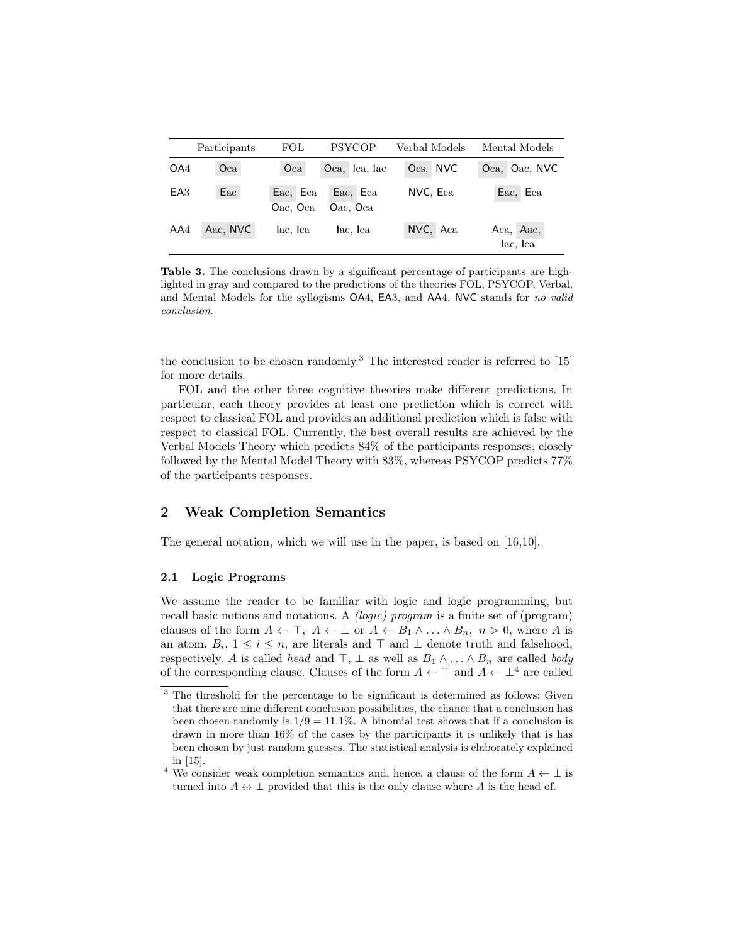|                 | Participants | FOL                  | PSYCOP               | Verbal Models | Mental Models         |
|-----------------|--------------|----------------------|----------------------|---------------|-----------------------|
| OA <sub>4</sub> | Oca          | Oca                  | Oca, Ica, Iac        | Ocs, NVC      | Oca, Oac, NVC         |
| EA <sub>3</sub> | Eac          | Eac, Eca<br>Oac, Oca | Eac, Eca<br>Oac, Oca | NVC, Eca      | Eac, Eca              |
| AA4             | Aac, NVC     | lac, Ica             | lac, Ica             | NVC, Aca      | Aca, Aac,<br>lac, Ica |

Table 3. The conclusions drawn by a significant percentage of participants are highlighted in gray and compared to the predictions of the theories FOL, PSYCOP, Verbal, and Mental Models for the syllogisms OA4, EA3, and AA4. NVC stands for no valid conclusion.

the conclusion to be chosen randomly.<sup>3</sup> The interested reader is referred to  $[15]$ for more details.

FOL and the other three cognitive theories make different predictions. In particular, each theory provides at least one prediction which is correct with respect to classical FOL and provides an additional prediction which is false with respect to classical FOL. Currently, the best overall results are achieved by the Verbal Models Theory which predicts 84% of the participants responses, closely followed by the Mental Model Theory with 83%, whereas PSYCOP predicts 77% of the participants responses.

# 2 Weak Completion Semantics

The general notation, which we will use in the paper, is based on [16,10].

## 2.1 Logic Programs

We assume the reader to be familiar with logic and logic programming, but recall basic notions and notations. A (logic) program is a finite set of (program) clauses of the form  $A \leftarrow \top$ ,  $A \leftarrow \bot$  or  $A \leftarrow B_1 \land \dots \land B_n$ ,  $n > 0$ , where A is an atom,  $B_i$ ,  $1 \leq i \leq n$ , are literals and  $\top$  and  $\bot$  denote truth and falsehood, respectively. A is called head and  $\top$ ,  $\bot$  as well as  $B_1 \wedge \ldots \wedge B_n$  are called body of the corresponding clause. Clauses of the form  $A \leftarrow \top$  and  $A \leftarrow \bot^4$  are called

<sup>&</sup>lt;sup>3</sup> The threshold for the percentage to be significant is determined as follows: Given that there are nine different conclusion possibilities, the chance that a conclusion has been chosen randomly is  $1/9 = 11.1\%$ . A binomial test shows that if a conclusion is drawn in more than 16% of the cases by the participants it is unlikely that is has been chosen by just random guesses. The statistical analysis is elaborately explained in [15].

<sup>&</sup>lt;sup>4</sup> We consider weak completion semantics and, hence, a clause of the form  $A \leftarrow \perp$  is turned into  $A \leftrightarrow \perp$  provided that this is the only clause where A is the head of.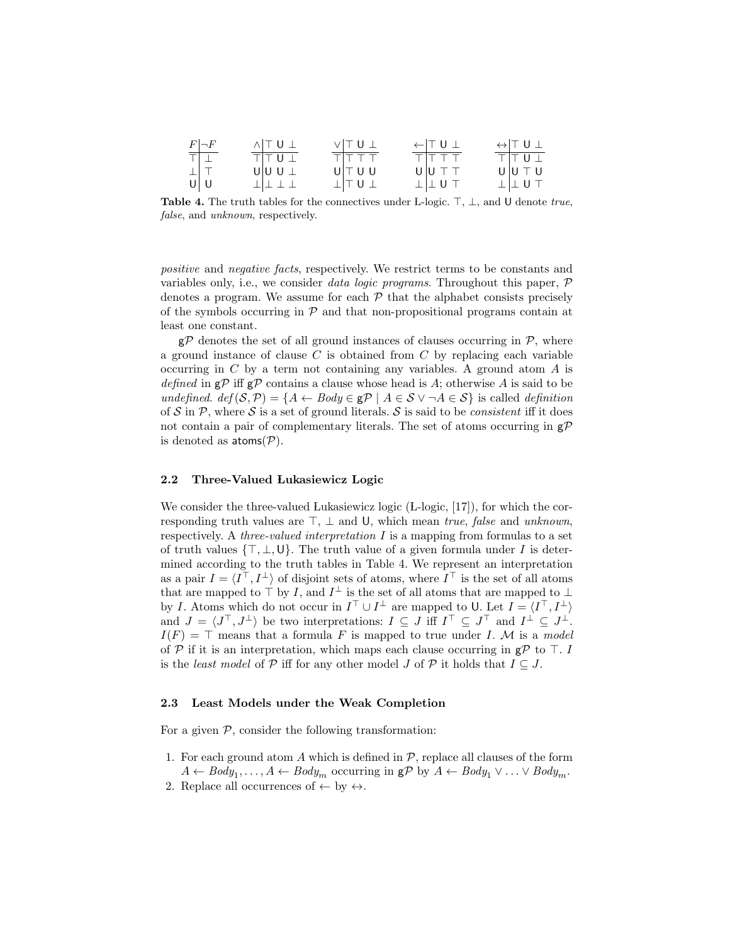| $\begin{array}{c c} F & \neg F \\ \hline \top & \bot \\ \bot & \top \\ \hline \mathsf{U} & \mathsf{U} \end{array}$ | $\land$ $\top$ $\cup$ $\bot$ | $V$ $T U \bot$          | $\leftarrow$ TU $\perp$ | $\leftrightarrow$ TU I |
|--------------------------------------------------------------------------------------------------------------------|------------------------------|-------------------------|-------------------------|------------------------|
|                                                                                                                    | TTUI                         | TITTT                   | $T$ $TT$ $T$ $T$        | TITU                   |
|                                                                                                                    | $U U U  \perp$               | $U \top U U$            | UUTT                    | $U U \top U$           |
|                                                                                                                    | 111111                       | $\perp$ $\perp$ $\perp$ | $\perp$ $\perp$ U T     | $\perp$ $\perp$ U T    |

Table 4. The truth tables for the connectives under L-logic.  $\top$ ,  $\bot$ , and U denote true, false, and unknown, respectively.

positive and negative facts, respectively. We restrict terms to be constants and variables only, i.e., we consider *data logic programs*. Throughout this paper,  $\mathcal{P}$ denotes a program. We assume for each  $P$  that the alphabet consists precisely of the symbols occurring in  $\mathcal P$  and that non-propositional programs contain at least one constant.

 $g\mathcal{P}$  denotes the set of all ground instances of clauses occurring in  $\mathcal{P}$ , where a ground instance of clause  $C$  is obtained from  $C$  by replacing each variable occurring in  $C$  by a term not containing any variables. A ground atom  $A$  is defined in  $\epsilon P$  iff  $\epsilon P$  contains a clause whose head is A; otherwise A is said to be undefined.  $def(S, \mathcal{P}) = \{A \leftarrow Body \in \mathbf{g} \mathcal{P} \mid A \in \mathcal{S} \vee \neg A \in \mathcal{S}\}\)$  is called definition of S in P, where S is a set of ground literals. S is said to be *consistent* iff it does not contain a pair of complementary literals. The set of atoms occurring in  $g\mathcal{P}$ is denoted as  $atoms(\mathcal{P})$ .

#### 2.2 Three-Valued Lukasiewicz Logic

We consider the three-valued Lukasiewicz logic (L-logic, [17]), for which the corresponding truth values are  $\top$ ,  $\bot$  and U, which mean true, false and unknown, respectively. A *three-valued interpretation I* is a mapping from formulas to a set of truth values  $\{\top, \bot, \mathsf{U}\}\$ . The truth value of a given formula under I is determined according to the truth tables in Table 4. We represent an interpretation as a pair  $I = \langle I^{\top}, I^{\perp} \rangle$  of disjoint sets of atoms, where  $I^{\top}$  is the set of all atoms that are mapped to  $\top$  by I, and  $I^{\perp}$  is the set of all atoms that are mapped to  $\perp$ by I. Atoms which do not occur in  $I^{\top} \cup I^{\perp}$  are mapped to U. Let  $I = \langle I^{\top}, I^{\perp} \rangle$ and  $J = \langle J^{\top}, J^{\perp} \rangle$  be two interpretations:  $I \subseteq J$  iff  $I^{\top} \subseteq J^{\top}$  and  $I^{\perp} \subseteq J^{\perp}$ .  $I(F) = \top$  means that a formula F is mapped to true under I. M is a model of  $P$  if it is an interpretation, which maps each clause occurring in  $gP$  to  $\top$ . I is the *least model* of  $P$  iff for any other model J of  $P$  it holds that  $I \subseteq J$ .

## 2.3 Least Models under the Weak Completion

For a given  $P$ , consider the following transformation:

- 1. For each ground atom A which is defined in  $P$ , replace all clauses of the form  $A \leftarrow Body_1, \ldots, A \leftarrow Body_m$  occurring in  $\mathbf{g} \mathcal{P}$  by  $A \leftarrow Body_1 \vee \ldots \vee Body_m$ .
- 2. Replace all occurrences of  $\leftarrow$  by  $\leftrightarrow$ .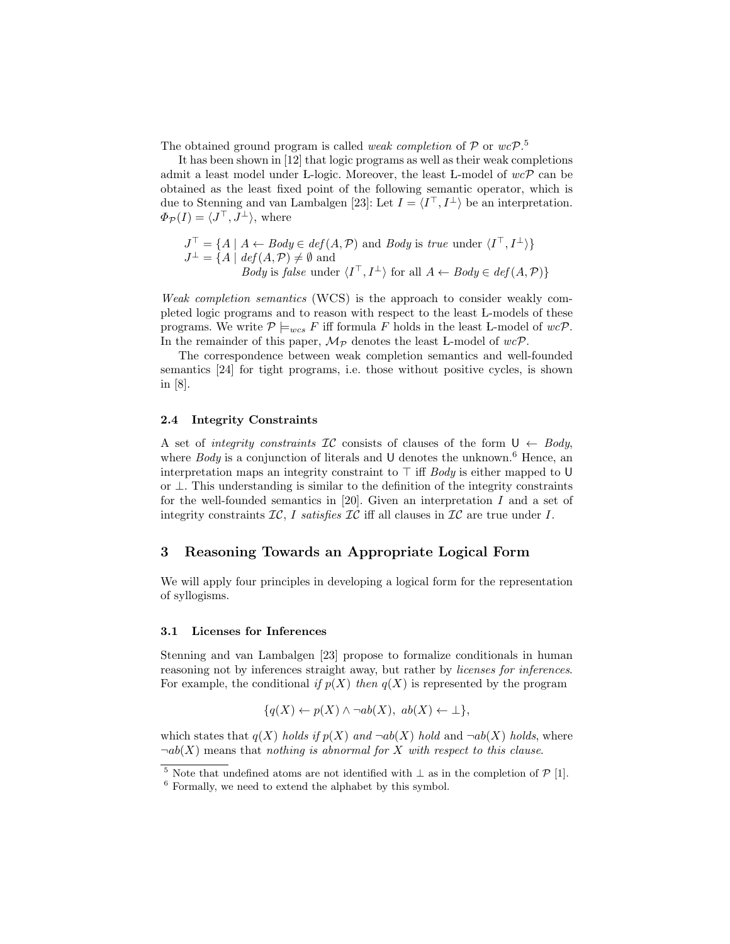The obtained ground program is called *weak completion* of  $P$  or  $wcP$ .<sup>5</sup>

It has been shown in [12] that logic programs as well as their weak completions admit a least model under L-logic. Moreover, the least L-model of  $wc\mathcal{P}$  can be obtained as the least fixed point of the following semantic operator, which is due to Stenning and van Lambalgen [23]: Let  $I = \langle I^{\top}, I^{\perp} \rangle$  be an interpretation.  $\Phi_{\mathcal{P}}(I) = \langle J^{\top}, J^{\perp} \rangle$ , where

$$
J^{\top} = \{ A \mid A \leftarrow Body \in def(A, P) \text{ and } Body \text{ is } true \text{ under } \langle I^{\top}, I^{\perp} \rangle \}
$$
  

$$
J^{\perp} = \{ A \mid def(A, P) \neq \emptyset \text{ and }
$$
  
*Body is false* under  $\langle I^{\top}, I^{\perp} \rangle$  for all  $A \leftarrow Body \in def(A, P) \}$ 

Weak completion semantics (WCS) is the approach to consider weakly completed logic programs and to reason with respect to the least L-models of these programs. We write  $P \models_{wcs} F$  iff formula F holds in the least L-model of  $wc\mathcal{P}$ . In the remainder of this paper,  $\mathcal{M}_{\mathcal{P}}$  denotes the least L-model of  $wc\mathcal{P}$ .

The correspondence between weak completion semantics and well-founded semantics [24] for tight programs, i.e. those without positive cycles, is shown in [8].

## 2.4 Integrity Constraints

A set of integrity constraints IC consists of clauses of the form  $U \leftarrow \text{Body}$ , where Body is a conjunction of literals and U denotes the unknown.<sup>6</sup> Hence, an interpretation maps an integrity constraint to  $\top$  iff Body is either mapped to U or ⊥. This understanding is similar to the definition of the integrity constraints for the well-founded semantics in [20]. Given an interpretation  $I$  and a set of integrity constraints  $IC$ , I satisfies  $IC$  iff all clauses in  $IC$  are true under I.

## 3 Reasoning Towards an Appropriate Logical Form

We will apply four principles in developing a logical form for the representation of syllogisms.

#### 3.1 Licenses for Inferences

Stenning and van Lambalgen [23] propose to formalize conditionals in human reasoning not by inferences straight away, but rather by *licenses for inferences*. For example, the conditional if  $p(X)$  then  $q(X)$  is represented by the program

$$
\{q(X) \leftarrow p(X) \land \neg ab(X), \ ab(X) \leftarrow \bot\},\
$$

which states that  $q(X)$  holds if  $p(X)$  and  $\neg ab(X)$  hold and  $\neg ab(X)$  holds, where  $\neg ab(X)$  means that nothing is abnormal for X with respect to this clause.

 $\frac{5}{\sqrt{5}}$  Note that undefined atoms are not identified with  $\perp$  as in the completion of P [1].

<sup>6</sup> Formally, we need to extend the alphabet by this symbol.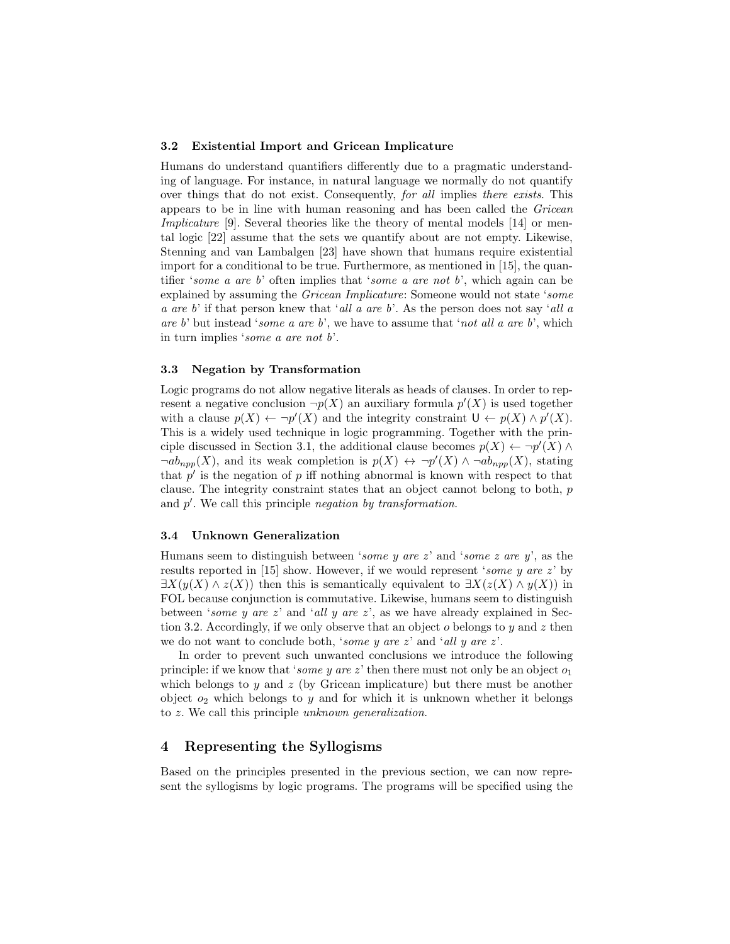#### 3.2 Existential Import and Gricean Implicature

Humans do understand quantifiers differently due to a pragmatic understanding of language. For instance, in natural language we normally do not quantify over things that do not exist. Consequently, for all implies there exists. This appears to be in line with human reasoning and has been called the Gricean Implicature [9]. Several theories like the theory of mental models [14] or mental logic [22] assume that the sets we quantify about are not empty. Likewise, Stenning and van Lambalgen [23] have shown that humans require existential import for a conditional to be true. Furthermore, as mentioned in [15], the quantifier 'some a are b' often implies that 'some a are not b', which again can be explained by assuming the Gricean Implicature: Someone would not state 'some a are b' if that person knew that 'all a are b'. As the person does not say 'all a are b' but instead 'some a are b', we have to assume that 'not all a are b', which in turn implies 'some a are not b'.

#### 3.3 Negation by Transformation

Logic programs do not allow negative literals as heads of clauses. In order to represent a negative conclusion  $\neg p(X)$  an auxiliary formula  $p'(X)$  is used together with a clause  $p(X) \leftarrow \neg p'(X)$  and the integrity constraint  $\mathsf{U} \leftarrow p(X) \wedge p'(X)$ . This is a widely used technique in logic programming. Together with the principle discussed in Section 3.1, the additional clause becomes  $p(X) \leftarrow \neg p'(X) \land$  $\neg ab_{npp}(X)$ , and its weak completion is  $p(X) \leftrightarrow \neg p'(X) \land \neg ab_{npp}(X)$ , stating that  $p'$  is the negation of p iff nothing abnormal is known with respect to that clause. The integrity constraint states that an object cannot belong to both, p and  $p'$ . We call this principle negation by transformation.

#### 3.4 Unknown Generalization

Humans seem to distinguish between 'some y are z' and 'some z are y', as the results reported in [15] show. However, if we would represent 'some y are  $z$ ' by  $\exists X(y(X) \wedge z(X))$  then this is semantically equivalent to  $\exists X(z(X) \wedge y(X))$  in FOL because conjunction is commutative. Likewise, humans seem to distinguish between 'some y are z' and 'all y are z', as we have already explained in Section 3.2. Accordingly, if we only observe that an object  $o$  belongs to  $y$  and  $z$  then we do not want to conclude both, 'some y are z' and 'all y are z'.

In order to prevent such unwanted conclusions we introduce the following principle: if we know that 'some y are z' then there must not only be an object  $o_1$ which belongs to y and z (by Gricean implicature) but there must be another object  $o_2$  which belongs to y and for which it is unknown whether it belongs to z. We call this principle unknown generalization.

# 4 Representing the Syllogisms

Based on the principles presented in the previous section, we can now represent the syllogisms by logic programs. The programs will be specified using the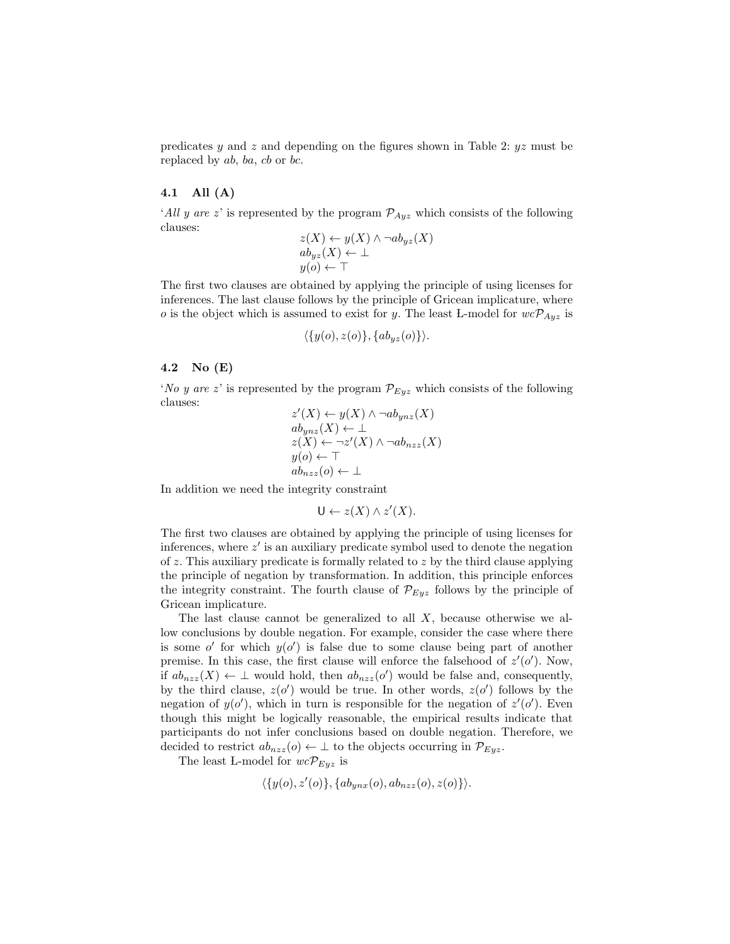predicates y and z and depending on the figures shown in Table 2:  $yz$  must be replaced by ab, ba, cb or bc.

# 4.1 All (A)

'All y are z' is represented by the program  $\mathcal{P}_{Ayz}$  which consists of the following clauses:

$$
z(X) \leftarrow y(X) \land \neg ab_{yz}(X)
$$
  
\n
$$
ab_{yz}(X) \leftarrow \perp
$$
  
\n
$$
y(o) \leftarrow \top
$$

The first two clauses are obtained by applying the principle of using licenses for inferences. The last clause follows by the principle of Gricean implicature, where o is the object which is assumed to exist for y. The least L-model for  $wc\mathcal{P}_{Avg}$  is

$$
\langle \{y(o), z(o)\}, \{ab_{yz}(o)\}\rangle.
$$

## 4.2 No (E)

'No y are z' is represented by the program  $\mathcal{P}_{Eyz}$  which consists of the following clauses:

$$
z'(X) \leftarrow y(X) \land \neg ab_{ynz}(X)
$$
  
\n
$$
ab_{ynz}(X) \leftarrow \bot
$$
  
\n
$$
z(X) \leftarrow \neg z'(X) \land \neg ab_{nzz}(X)
$$
  
\n
$$
y(o) \leftarrow \top
$$
  
\n
$$
ab_{nzz}(o) \leftarrow \bot
$$

In addition we need the integrity constraint

$$
U \leftarrow z(X) \land z'(X).
$$

The first two clauses are obtained by applying the principle of using licenses for inferences, where  $z'$  is an auxiliary predicate symbol used to denote the negation of z. This auxiliary predicate is formally related to z by the third clause applying the principle of negation by transformation. In addition, this principle enforces the integrity constraint. The fourth clause of  $\mathcal{P}_{Eyz}$  follows by the principle of Gricean implicature.

The last clause cannot be generalized to all  $X$ , because otherwise we allow conclusions by double negation. For example, consider the case where there is some  $o'$  for which  $y(o')$  is false due to some clause being part of another premise. In this case, the first clause will enforce the falsehood of  $z'(o')$ . Now, if  $ab_{nzz}(X) \leftarrow \perp$  would hold, then  $ab_{nzz}(o')$  would be false and, consequently, by the third clause,  $z(o')$  would be true. In other words,  $z(o')$  follows by the negation of  $y(o')$ , which in turn is responsible for the negation of  $z'(o')$ . Even though this might be logically reasonable, the empirical results indicate that participants do not infer conclusions based on double negation. Therefore, we decided to restrict  $ab_{nzz}(o) \leftarrow \perp$  to the objects occurring in  $\mathcal{P}_{Eyz}$ .

The least L-model for  $wc\mathcal{P}_{Eyz}$  is

$$
\langle \{y(o), z'(o)\}, \{ab_{ynx}(o), ab_{nzz}(o), z(o)\}\rangle.
$$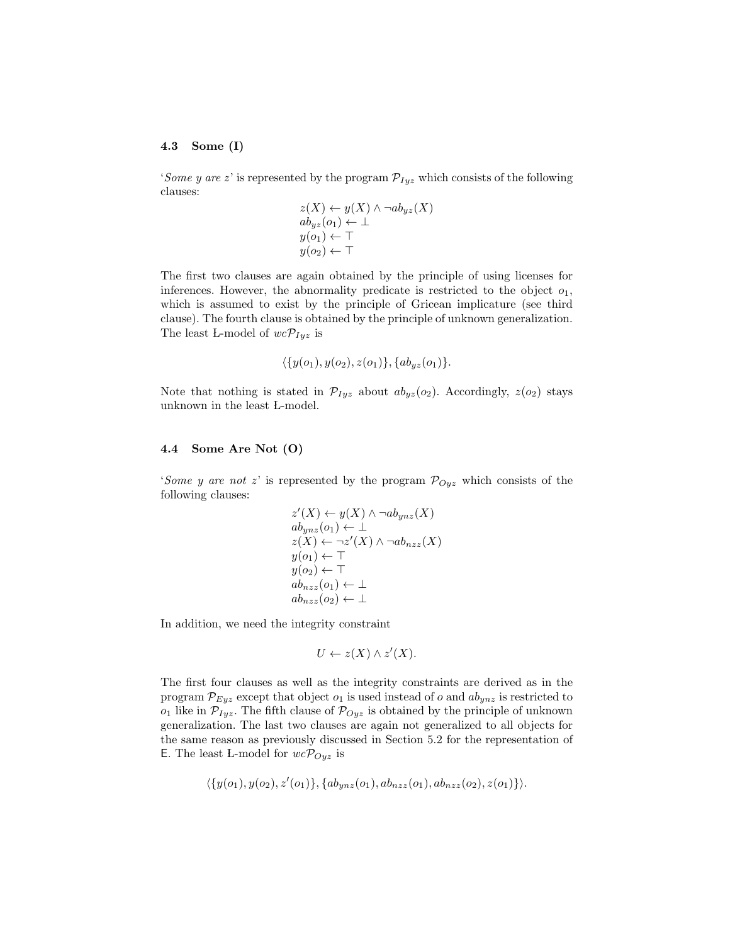## 4.3 Some (I)

'Some y are z' is represented by the program  $\mathcal{P}_{Iyz}$  which consists of the following clauses:

$$
z(X) \leftarrow y(X) \land \neg ab_{yz}(X)
$$
  
\n
$$
ab_{yz}(o_1) \leftarrow \perp
$$
  
\n
$$
y(o_1) \leftarrow \top
$$
  
\n
$$
y(o_2) \leftarrow \top
$$

The first two clauses are again obtained by the principle of using licenses for inferences. However, the abnormality predicate is restricted to the object  $o_1$ , which is assumed to exist by the principle of Gricean implicature (see third clause). The fourth clause is obtained by the principle of unknown generalization. The least L-model of  $wc\mathcal{P}_{Iyz}$  is

$$
\langle \{y(o_1), y(o_2), z(o_1)\}, \{ab_{yz}(o_1)\}.
$$

Note that nothing is stated in  $\mathcal{P}_{Iyz}$  about  $ab_{yz}(o_2)$ . Accordingly,  $z(o_2)$  stays unknown in the least L-model.

## 4.4 Some Are Not (O)

'Some y are not z' is represented by the program  $\mathcal{P}_{Oyz}$  which consists of the following clauses:

$$
z'(X) \leftarrow y(X) \land \neg ab_{ynz}(X)
$$
  
\n
$$
ab_{ynz}(o_1) \leftarrow \bot
$$
  
\n
$$
z(X) \leftarrow \neg z'(X) \land \neg ab_{nzz}(X)
$$
  
\n
$$
y(o_1) \leftarrow \top
$$
  
\n
$$
y(o_2) \leftarrow \top
$$
  
\n
$$
ab_{nzz}(o_1) \leftarrow \bot
$$
  
\n
$$
ab_{nzz}(o_2) \leftarrow \bot
$$

In addition, we need the integrity constraint

$$
U \leftarrow z(X) \land z'(X).
$$

The first four clauses as well as the integrity constraints are derived as in the program  $\mathcal{P}_{Eyz}$  except that object  $o_1$  is used instead of o and  $ab_{ynz}$  is restricted to  $o_1$  like in  $\mathcal{P}_{Iyz}$ . The fifth clause of  $\mathcal{P}_{Oyz}$  is obtained by the principle of unknown generalization. The last two clauses are again not generalized to all objects for the same reason as previously discussed in Section 5.2 for the representation of **E.** The least L-model for  $wc \mathcal{P}_{Oyz}$  is

$$
\langle \{y(o_1), y(o_2), z'(o_1)\}, \{ab_{ynz}(o_1), ab_{nzz}(o_1), ab_{nzz}(o_2), z(o_1)\}\rangle.
$$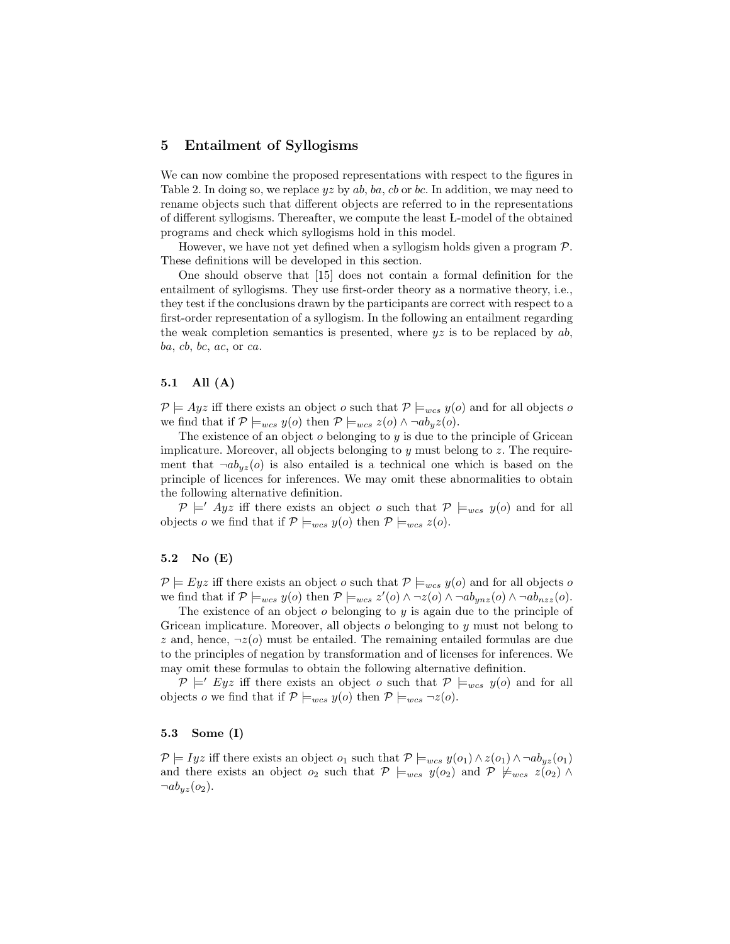## 5 Entailment of Syllogisms

We can now combine the proposed representations with respect to the figures in Table 2. In doing so, we replace  $yz$  by  $ab$ ,  $ba$ ,  $cb$  or  $bc$ . In addition, we may need to rename objects such that different objects are referred to in the representations of different syllogisms. Thereafter, we compute the least L-model of the obtained programs and check which syllogisms hold in this model.

However, we have not yet defined when a syllogism holds given a program  $P$ . These definitions will be developed in this section.

One should observe that [15] does not contain a formal definition for the entailment of syllogisms. They use first-order theory as a normative theory, i.e., they test if the conclusions drawn by the participants are correct with respect to a first-order representation of a syllogism. In the following an entailment regarding the weak completion semantics is presented, where  $yz$  is to be replaced by  $ab$ ,  $ba, cb, bc, ac, or ca.$ 

#### 5.1 All (A)

 $P \models Ayz$  iff there exists an object o such that  $P \models_{wcs} y(o)$  and for all objects o we find that if  $\mathcal{P} \models_{wcs} y(o)$  then  $\mathcal{P} \models_{wcs} z(o) \land \neg ab_y z(o)$ .

The existence of an object  $o$  belonging to  $y$  is due to the principle of Gricean implicature. Moreover, all objects belonging to  $y$  must belong to  $z$ . The requirement that  $\neg ab_{uz}(o)$  is also entailed is a technical one which is based on the principle of licences for inferences. We may omit these abnormalities to obtain the following alternative definition.

 $\mathcal{P} \models' Ayz$  iff there exists an object o such that  $\mathcal{P} \models_{wcs} y(o)$  and for all objects o we find that if  $P \models_{wcs} y(o)$  then  $P \models_{wcs} z(o)$ .

## 5.2 No (E)

 $P \models Eyz$  iff there exists an object o such that  $P \models_{wcs} y(o)$  and for all objects o we find that if  $\mathcal{P} \models_{wcs} y(o)$  then  $\mathcal{P} \models_{wcs} z'(o) \land \neg z(o) \land \neg ab_{ynz}(o) \land \neg ab_{nzz}(o)$ .

The existence of an object  $o$  belonging to  $y$  is again due to the principle of Gricean implicature. Moreover, all objects  $o$  belonging to  $y$  must not belong to z and, hence,  $\neg z(o)$  must be entailed. The remaining entailed formulas are due to the principles of negation by transformation and of licenses for inferences. We may omit these formulas to obtain the following alternative definition.

 $\mathcal{P} \models' Eyz$  iff there exists an object o such that  $\mathcal{P} \models_{wcs} y(o)$  and for all objects o we find that if  $\mathcal{P} \models_{wcs} y(o)$  then  $\mathcal{P} \models_{wcs} \neg z(o)$ .

## 5.3 Some (I)

 $P \models Iyz$  iff there exists an object  $o_1$  such that  $P \models_{wcs} y(o_1) \wedge z(o_1) \wedge \neg ab_{yz}(o_1)$ and there exists an object  $o_2$  such that  $\mathcal{P} \models_{wcs} y(o_2)$  and  $\mathcal{P} \not\models_{wcs} z(o_2) \land$  $\neg ab_{yz}(o_2)$ .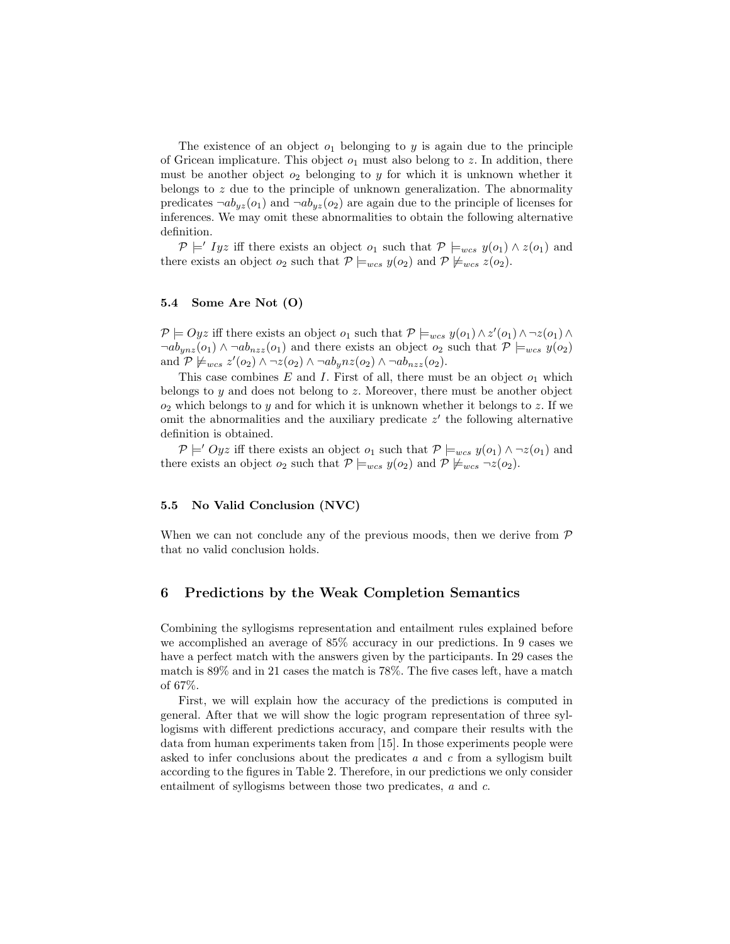The existence of an object  $o_1$  belonging to y is again due to the principle of Gricean implicature. This object  $o_1$  must also belong to z. In addition, there must be another object  $o_2$  belonging to y for which it is unknown whether it belongs to  $z$  due to the principle of unknown generalization. The abnormality predicates  $\neg ab_{yz}(o_1)$  and  $\neg ab_{yz}(o_2)$  are again due to the principle of licenses for inferences. We may omit these abnormalities to obtain the following alternative definition.

 $\mathcal{P} \models' Iyz$  iff there exists an object  $o_1$  such that  $\mathcal{P} \models_{wcs} y(o_1) \wedge z(o_1)$  and there exists an object  $o_2$  such that  $P \models_{wcs} y(o_2)$  and  $P \not\models_{wcs} z(o_2)$ .

## 5.4 Some Are Not (O)

 $P \models Oyz$  iff there exists an object  $o_1$  such that  $P \models_{wcs} y(o_1) \wedge z'(o_1) \wedge \neg z(o_1) \wedge z'(o_2)$  $\neg ab_{ynz}(o_1) \wedge \neg ab_{nzz}(o_1)$  and there exists an object  $o_2$  such that  $\mathcal{P} \models_{wcs} y(o_2)$ and  $\mathcal{P} \not\models_{wcs} z'(o_2) \wedge \neg z(o_2) \wedge \neg ab_y n z(o_2) \wedge \neg ab_{nzz}(o_2).$ 

This case combines E and I. First of all, there must be an object  $o_1$  which belongs to  $y$  and does not belong to  $z$ . Moreover, there must be another object  $o_2$  which belongs to y and for which it is unknown whether it belongs to z. If we omit the abnormalities and the auxiliary predicate  $z'$  the following alternative definition is obtained.

 $\mathcal{P} \models' Oyz$  iff there exists an object  $o_1$  such that  $\mathcal{P} \models_{wcs} y(o_1) \land \neg z(o_1)$  and there exists an object  $o_2$  such that  $\mathcal{P} \models_{wcs} y(o_2)$  and  $\mathcal{P} \not\models_{wcs} \neg z(o_2)$ .

### 5.5 No Valid Conclusion (NVC)

When we can not conclude any of the previous moods, then we derive from  $\mathcal P$ that no valid conclusion holds.

# 6 Predictions by the Weak Completion Semantics

Combining the syllogisms representation and entailment rules explained before we accomplished an average of 85% accuracy in our predictions. In 9 cases we have a perfect match with the answers given by the participants. In 29 cases the match is 89% and in 21 cases the match is 78%. The five cases left, have a match of 67%.

First, we will explain how the accuracy of the predictions is computed in general. After that we will show the logic program representation of three syllogisms with different predictions accuracy, and compare their results with the data from human experiments taken from [15]. In those experiments people were asked to infer conclusions about the predicates  $a$  and  $c$  from a syllogism built according to the figures in Table 2. Therefore, in our predictions we only consider entailment of syllogisms between those two predicates, a and c.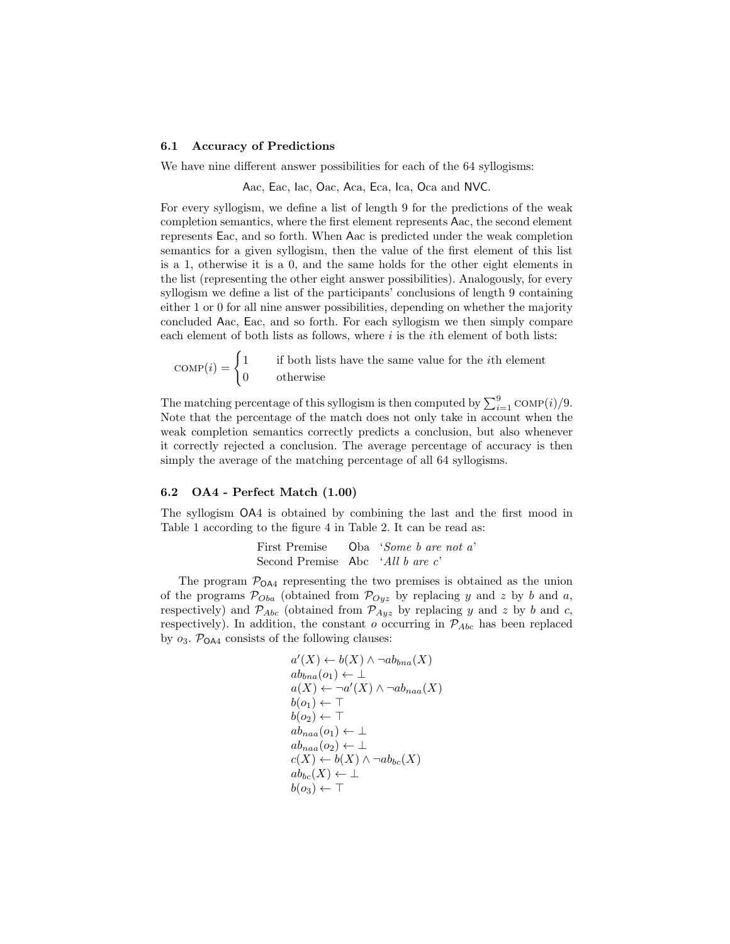#### 6.1 Accuracy of Predictions

We have nine different answer possibilities for each of the 64 syllogisms:

Aac, Eac, Iac, Oac, Aca, Eca, Ica, Oca and NVC.

For every syllogism, we define a list of length 9 for the predictions of the weak completion semantics, where the first element represents Aac, the second element represents Eac, and so forth. When Aac is predicted under the weak completion semantics for a given syllogism, then the value of the first element of this list is a 1, otherwise it is a 0, and the same holds for the other eight elements in the list (representing the other eight answer possibilities). Analogously, for every syllogism we define a list of the participants' conclusions of length 9 containing either 1 or 0 for all nine answer possibilities, depending on whether the majority concluded Aac, Eac, and so forth. For each syllogism we then simply compare each element of both lists as follows, where  $i$  is the *i*th element of both lists:

 $\text{COMP}(i) = \begin{cases} 1 \\ 0 \end{cases}$ 1 if both lists have the same value for the ith element 0 otherwise

The matching percentage of this syllogism is then computed by  $\sum_{i=1}^{9} \text{COMP}(i)/9$ . Note that the percentage of the match does not only take in account when the weak completion semantics correctly predicts a conclusion, but also whenever it correctly rejected a conclusion. The average percentage of accuracy is then simply the average of the matching percentage of all 64 syllogisms.

## 6.2 OA4 - Perfect Match (1.00)

The syllogism OA4 is obtained by combining the last and the first mood in Table 1 according to the figure 4 in Table 2. It can be read as:

> First Premise Oba 'Some b are not a' Second Premise Abc 'All b are c'

The program  $P_{OAA}$  representing the two premises is obtained as the union of the programs  $\mathcal{P}_{Oba}$  (obtained from  $\mathcal{P}_{Oyz}$  by replacing y and z by b and a, respectively) and  $\mathcal{P}_{Abc}$  (obtained from  $\mathcal{P}_{Ayz}$  by replacing y and z by b and c, respectively). In addition, the constant  $o$  occurring in  $P_{Abc}$  has been replaced by  $o_3$ .  $\mathcal{P}_{\text{OAA}}$  consists of the following clauses:

$$
a'(X) \leftarrow b(X) \land \neg ab_{bna}(X)
$$
  
\n
$$
ab_{bna}(o_1) \leftarrow \bot
$$
  
\n
$$
a(X) \leftarrow \neg a'(X) \land \neg ab_{naa}(X)
$$
  
\n
$$
b(o_1) \leftarrow \top
$$
  
\n
$$
b(o_2) \leftarrow \top
$$
  
\n
$$
ab_{naa}(o_1) \leftarrow \bot
$$
  
\n
$$
ab_{naa}(o_2) \leftarrow \bot
$$
  
\n
$$
c(X) \leftarrow b(X) \land \neg ab_{bc}(X)
$$
  
\n
$$
ab_{bc}(X) \leftarrow \bot
$$
  
\n
$$
b(o_3) \leftarrow \top
$$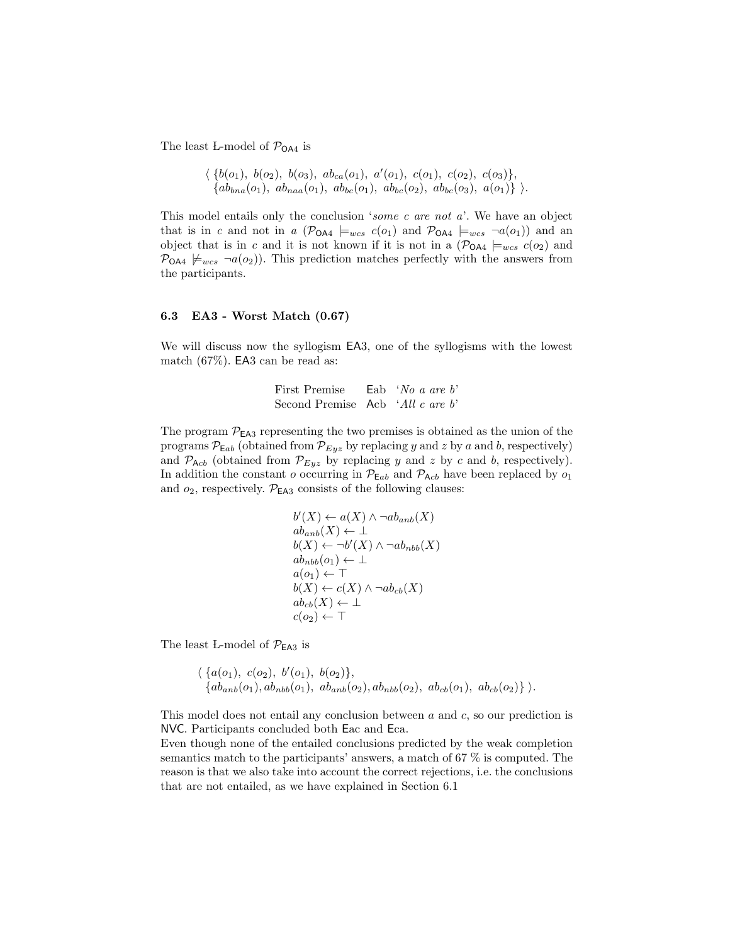The least L-model of  $P_{\text{OA4}}$  is

$$
\langle \{b(o_1), b(o_2), b(o_3), ab_{ca}(o_1), a'(o_1), c(o_1), c(o_2), c(o_3)\},\
$$
  

$$
\{ab_{bna}(o_1), ab_{naa}(o_1), ab_{bc}(o_1), ab_{bc}(o_2), ab_{bc}(o_3), a(o_1)\}\rangle.
$$

This model entails only the conclusion 'some c are not a'. We have an object that is in c and not in a  $(\mathcal{P}_{OA4} \models_{wcs} c(o_1)$  and  $\mathcal{P}_{OA4} \models_{wcs} \neg a(o_1))$  and an object that is in c and it is not known if it is not in a  $(\mathcal{P}_{OA4} \models_{wcs} c(o_2)$  and  $\mathcal{P}_{\mathsf{O}\mathsf{A}4} \not\models_{wcs} \neg a(o_2)$ . This prediction matches perfectly with the answers from the participants.

#### 6.3 EA3 - Worst Match (0.67)

We will discuss now the syllogism EA3, one of the syllogisms with the lowest match (67%). EA3 can be read as:

| First Premise                    | Eab 'No a are $b$ ' |  |  |
|----------------------------------|---------------------|--|--|
| Second Premise Acb 'All c are b' |                     |  |  |

The program  $\mathcal{P}_{EA3}$  representing the two premises is obtained as the union of the programs  $\mathcal{P}_{Eab}$  (obtained from  $\mathcal{P}_{Eyz}$  by replacing y and z by a and b, respectively) and  $P_{\text{A}cb}$  (obtained from  $P_{Eyz}$  by replacing y and z by c and b, respectively). In addition the constant o occurring in  $\mathcal{P}_{\mathsf{E}ab}$  and  $\mathcal{P}_{\mathsf{A}cb}$  have been replaced by  $o_1$ and  $o_2$ , respectively.  $P_{EA3}$  consists of the following clauses:

$$
b'(X) \leftarrow a(X) \land \neg ab_{anb}(X)
$$
  
\n
$$
ab_{anb}(X) \leftarrow \bot
$$
  
\n
$$
b(X) \leftarrow \neg b'(X) \land \neg ab_{nbb}(X)
$$
  
\n
$$
ab_{nbb}(o_1) \leftarrow \bot
$$
  
\n
$$
a(o_1) \leftarrow \top
$$
  
\n
$$
b(X) \leftarrow c(X) \land \neg ab_{cb}(X)
$$
  
\n
$$
ab_{cb}(X) \leftarrow \bot
$$
  
\n
$$
c(o_2) \leftarrow \top
$$

The least L-model of  $\mathcal{P}_{\textsf{EA}3}$  is

 $\langle \{a(o_1), c(o_2), b'(o_1), b(o_2)\},\$  $\{ab_{anb}(o_1), ab_{nbb}(o_1), ab_{anb}(o_2), ab_{nbb}(o_2), ab_{cb}(o_1), ab_{cb}(o_2)\}\rangle.$ 

This model does not entail any conclusion between  $a$  and  $c$ , so our prediction is NVC. Participants concluded both Eac and Eca.

Even though none of the entailed conclusions predicted by the weak completion semantics match to the participants' answers, a match of 67 % is computed. The reason is that we also take into account the correct rejections, i.e. the conclusions that are not entailed, as we have explained in Section 6.1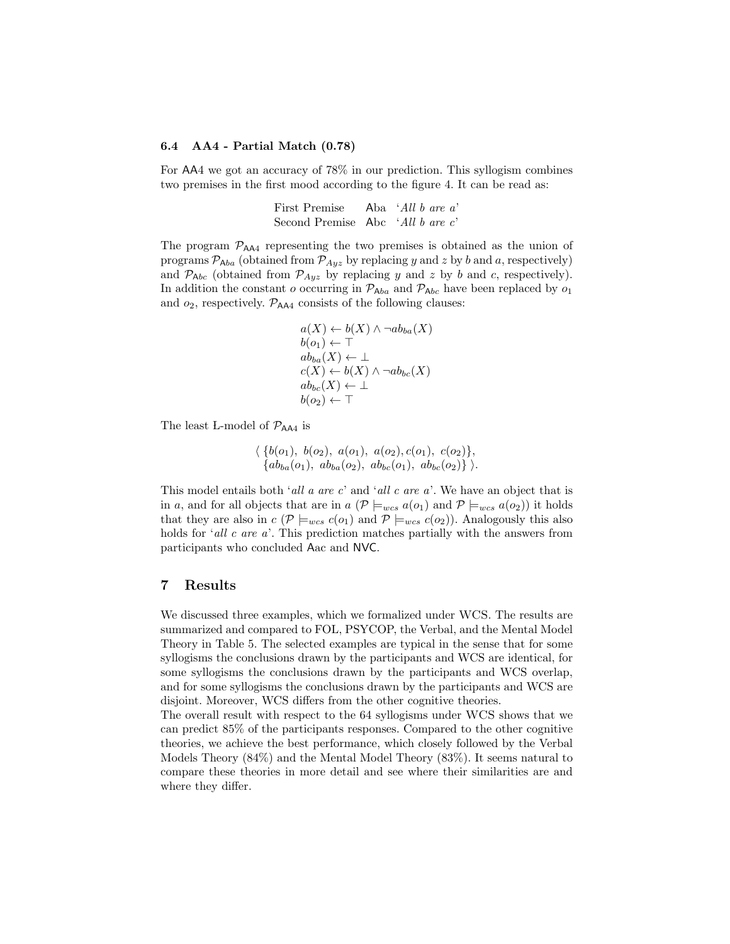## 6.4 AA4 - Partial Match (0.78)

For AA4 we got an accuracy of 78% in our prediction. This syllogism combines two premises in the first mood according to the figure 4. It can be read as:

| First Premise                    | Aba $'All b$ are a' |  |  |
|----------------------------------|---------------------|--|--|
| Second Premise Abc 'All b are c' |                     |  |  |

The program  $\mathcal{P}_{AA4}$  representing the two premises is obtained as the union of programs  $P_{Aba}$  (obtained from  $P_{Ayz}$  by replacing y and z by b and a, respectively) and  $P_{Abc}$  (obtained from  $P_{Ayz}$  by replacing y and z by b and c, respectively). In addition the constant o occurring in  $\mathcal{P}_{\mathsf{A}ba}$  and  $\mathcal{P}_{\mathsf{A}bc}$  have been replaced by  $o_1$ and  $o_2$ , respectively.  $\mathcal{P}_{AA4}$  consists of the following clauses:

$$
a(X) \leftarrow b(X) \land \neg ab_{ba}(X)
$$
  
\n
$$
b(o_1) \leftarrow \top
$$
  
\n
$$
ab_{ba}(X) \leftarrow \bot
$$
  
\n
$$
c(X) \leftarrow b(X) \land \neg ab_{bc}(X)
$$
  
\n
$$
ab_{bc}(X) \leftarrow \bot
$$
  
\n
$$
b(o_2) \leftarrow \top
$$

The least L-model of  $\mathcal{P}_{AAA}$  is

 $\langle \{b(o_1), b(o_2), a(o_1), a(o_2), c(o_1), c(o_2)\},\$  ${ab_{ba}(o_1), ab_{ba}(o_2), ab_{bc}(o_1), ab_{bc}(o_2)}$ .

This model entails both 'all a are c' and 'all c are  $a$ '. We have an object that is in a, and for all objects that are in  $a \left( \mathcal{P} \right) \models_{wcs} a(o_1)$  and  $\mathcal{P} \models_{wcs} a(o_2)$  it holds that they are also in  $c$  ( $\mathcal{P} \models_{wcs} c(o_1)$  and  $\mathcal{P} \models_{wcs} c(o_2)$ ). Analogously this also holds for  $'all\ c\ are\ a'$ . This prediction matches partially with the answers from participants who concluded Aac and NVC.

## 7 Results

We discussed three examples, which we formalized under WCS. The results are summarized and compared to FOL, PSYCOP, the Verbal, and the Mental Model Theory in Table 5. The selected examples are typical in the sense that for some syllogisms the conclusions drawn by the participants and WCS are identical, for some syllogisms the conclusions drawn by the participants and WCS overlap, and for some syllogisms the conclusions drawn by the participants and WCS are disjoint. Moreover, WCS differs from the other cognitive theories.

The overall result with respect to the 64 syllogisms under WCS shows that we can predict 85% of the participants responses. Compared to the other cognitive theories, we achieve the best performance, which closely followed by the Verbal Models Theory (84%) and the Mental Model Theory (83%). It seems natural to compare these theories in more detail and see where their similarities are and where they differ.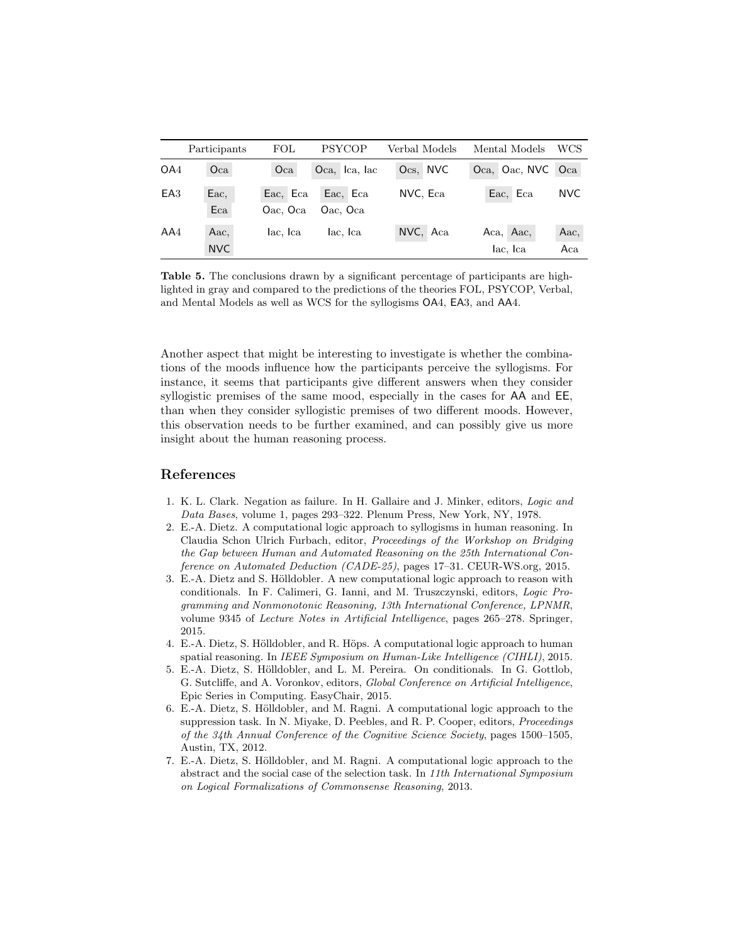|                 | Participants | FOL                  | <b>PSYCOP</b>        | Verbal Models | Mental Models         | WCS         |
|-----------------|--------------|----------------------|----------------------|---------------|-----------------------|-------------|
| OA4             | Oca          | Oca                  | Oca, Ica, Iac        | Ocs, NVC      | Oca, Oac, NVC         | Oca         |
| EA <sub>3</sub> | Eac,<br>Eca  | Eac, Eca<br>Oac, Oca | Eac, Eca<br>Oac, Oca | NVC, Eca      | Eac, Eca              | <b>NVC</b>  |
| AA4             | Aac,<br>NVC  | lac, Ica             | lac, Ica             | NVC, Aca      | Aca, Aac,<br>lac, Ica | Aac,<br>Aca |

Table 5. The conclusions drawn by a significant percentage of participants are highlighted in gray and compared to the predictions of the theories FOL, PSYCOP, Verbal, and Mental Models as well as WCS for the syllogisms OA4, EA3, and AA4.

Another aspect that might be interesting to investigate is whether the combinations of the moods influence how the participants perceive the syllogisms. For instance, it seems that participants give different answers when they consider syllogistic premises of the same mood, especially in the cases for AA and EE, than when they consider syllogistic premises of two different moods. However, this observation needs to be further examined, and can possibly give us more insight about the human reasoning process.

# References

- 1. K. L. Clark. Negation as failure. In H. Gallaire and J. Minker, editors, Logic and Data Bases, volume 1, pages 293–322. Plenum Press, New York, NY, 1978.
- 2. E.-A. Dietz. A computational logic approach to syllogisms in human reasoning. In Claudia Schon Ulrich Furbach, editor, Proceedings of the Workshop on Bridging the Gap between Human and Automated Reasoning on the 25th International Conference on Automated Deduction (CADE-25), pages 17–31. CEUR-WS.org, 2015.
- 3. E.-A. Dietz and S. Hölldobler. A new computational logic approach to reason with conditionals. In F. Calimeri, G. Ianni, and M. Truszczynski, editors, Logic Programming and Nonmonotonic Reasoning, 13th International Conference, LPNMR, volume 9345 of Lecture Notes in Artificial Intelligence, pages 265–278. Springer, 2015.
- 4. E.-A. Dietz, S. Hölldobler, and R. Höps. A computational logic approach to human spatial reasoning. In *IEEE Symposium on Human-Like Intelligence (CIHLI)*, 2015.
- 5. E.-A. Dietz, S. Hölldobler, and L. M. Pereira. On conditionals. In G. Gottlob, G. Sutcliffe, and A. Voronkov, editors, Global Conference on Artificial Intelligence, Epic Series in Computing. EasyChair, 2015.
- 6. E.-A. Dietz, S. Hölldobler, and M. Ragni. A computational logic approach to the suppression task. In N. Miyake, D. Peebles, and R. P. Cooper, editors, Proceedings of the 34th Annual Conference of the Cognitive Science Society, pages 1500–1505, Austin, TX, 2012.
- 7. E.-A. Dietz, S. Hölldobler, and M. Ragni. A computational logic approach to the abstract and the social case of the selection task. In 11th International Symposium on Logical Formalizations of Commonsense Reasoning, 2013.